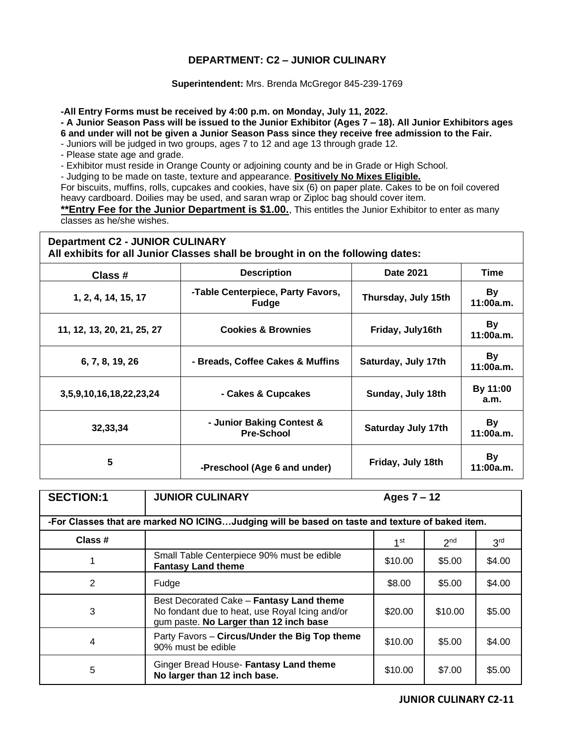## **DEPARTMENT: C2 – JUNIOR CULINARY**

**Superintendent:** Mrs. Brenda McGregor 845-239-1769

**-All Entry Forms must be received by 4:00 p.m. on Monday, July 11, 2022.**

**- A Junior Season Pass will be issued to the Junior Exhibitor (Ages 7 – 18). All Junior Exhibitors ages 6 and under will not be given a Junior Season Pass since they receive free admission to the Fair.** 

- Juniors will be judged in two groups, ages 7 to 12 and age 13 through grade 12.

- Please state age and grade.

- Exhibitor must reside in Orange County or adjoining county and be in Grade or High School.

- Judging to be made on taste, texture and appearance. **Positively No Mixes Eligible.**

For biscuits, muffins, rolls, cupcakes and cookies, have six (6) on paper plate. Cakes to be on foil covered heavy cardboard. Doilies may be used, and saran wrap or Ziploc bag should cover item.

**\*\*Entry Fee for the Junior Department is \$1.00.**, This entitles the Junior Exhibitor to enter as many classes as he/she wishes.

|                                        | All exhibits for all Junior Classes shall be brought in on the following dates: | <b>B</b> <i>ABB</i> |  |
|----------------------------------------|---------------------------------------------------------------------------------|---------------------|--|
| <b>Department C2 - JUNIOR CULINARY</b> |                                                                                 |                     |  |

| Class #                    | <b>Description</b>                                | <b>Date 2021</b>          | Time                   |
|----------------------------|---------------------------------------------------|---------------------------|------------------------|
| 1, 2, 4, 14, 15, 17        | -Table Centerpiece, Party Favors,<br><b>Fudge</b> | Thursday, July 15th       | By<br>11:00a.m.        |
| 11, 12, 13, 20, 21, 25, 27 | <b>Cookies &amp; Brownies</b>                     | Friday, July16th          | By<br>11:00a.m.        |
| 6, 7, 8, 19, 26            | - Breads, Coffee Cakes & Muffins                  | Saturday, July 17th       | By<br>11:00a.m.        |
| 3,5,9,10,16,18,22,23,24    | - Cakes & Cupcakes                                | Sunday, July 18th         | By 11:00<br>a.m.       |
| 32,33,34                   | - Junior Baking Contest &<br><b>Pre-School</b>    | <b>Saturday July 17th</b> | <b>By</b><br>11:00a.m. |
| 5                          | -Preschool (Age 6 and under)                      | Friday, July 18th         | <b>By</b><br>11:00a.m. |

| <b>SECTION:1</b> | <b>JUNIOR CULINARY</b>                                                                                                               | Ages $7 - 12$   |                 |                 |  |  |
|------------------|--------------------------------------------------------------------------------------------------------------------------------------|-----------------|-----------------|-----------------|--|--|
|                  | -For Classes that are marked NO ICINGJudging will be based on taste and texture of baked item.                                       |                 |                 |                 |  |  |
| Class #          |                                                                                                                                      | 1 <sup>st</sup> | 2 <sup>nd</sup> | 3 <sup>rd</sup> |  |  |
|                  | Small Table Centerpiece 90% must be edible<br><b>Fantasy Land theme</b>                                                              | \$10.00         | \$5.00          | \$4.00          |  |  |
| 2                | Fudge                                                                                                                                | \$8.00          | \$5.00          | \$4.00          |  |  |
| 3                | Best Decorated Cake - Fantasy Land theme<br>No fondant due to heat, use Royal Icing and/or<br>gum paste. No Larger than 12 inch base | \$20.00         | \$10.00         | \$5.00          |  |  |
| 4                | Party Favors - Circus/Under the Big Top theme<br>90% must be edible                                                                  | \$10.00         | \$5.00          | \$4.00          |  |  |
| 5                | Ginger Bread House- Fantasy Land theme<br>No larger than 12 inch base.                                                               | \$10.00         | \$7.00          | \$5.00          |  |  |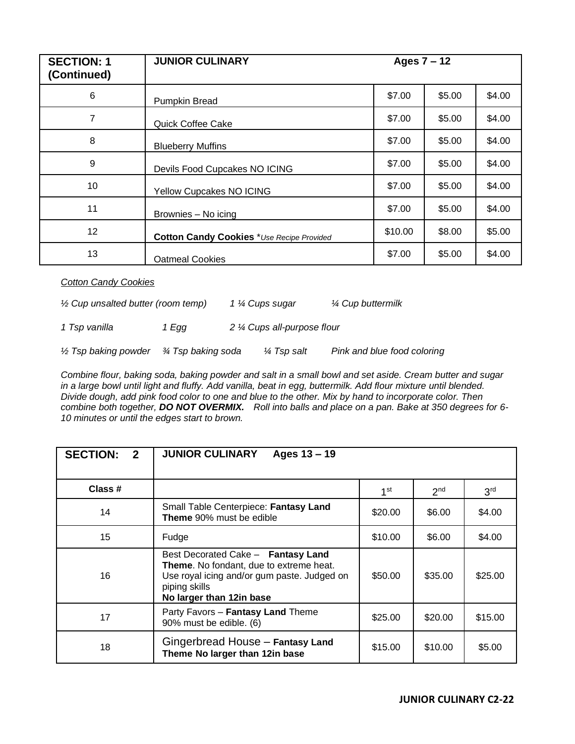| <b>SECTION: 1</b><br>(Continued) | <b>JUNIOR CULINARY</b>                           | Ages $7 - 12$ |        |        |
|----------------------------------|--------------------------------------------------|---------------|--------|--------|
| 6                                | Pumpkin Bread                                    | \$7.00        | \$5.00 | \$4.00 |
| 7                                | Quick Coffee Cake                                | \$7.00        | \$5.00 | \$4.00 |
| 8                                | <b>Blueberry Muffins</b>                         | \$7.00        | \$5.00 | \$4.00 |
| 9                                | Devils Food Cupcakes NO ICING                    | \$7.00        | \$5.00 | \$4.00 |
| 10                               | Yellow Cupcakes NO ICING                         | \$7.00        | \$5.00 | \$4.00 |
| 11                               | Brownies - No icing                              | \$7.00        | \$5.00 | \$4.00 |
| 12 <sup>2</sup>                  | <b>Cotton Candy Cookies</b> *Use Recipe Provided | \$10.00       | \$8.00 | \$5.00 |
| 13                               | <b>Oatmeal Cookies</b>                           | \$7.00        | \$5.00 | \$4.00 |

*Cotton Candy Cookies*

*½ Cup unsalted butter (room temp) 1 ¼ Cups sugar ¼ Cup buttermilk*

*1 Tsp vanilla 1 Egg 2 ¼ Cups all-purpose flour*

*½ Tsp baking powder ¾ Tsp baking soda ¼ Tsp salt Pink and blue food coloring*

*Combine flour, baking soda, baking powder and salt in a small bowl and set aside. Cream butter and sugar in a large bowl until light and fluffy. Add vanilla, beat in egg, buttermilk. Add flour mixture until blended. Divide dough, add pink food color to one and blue to the other. Mix by hand to incorporate color. Then combine both together, DO NOT OVERMIX. Roll into balls and place on a pan. Bake at 350 degrees for 6- 10 minutes or until the edges start to brown.*

| <b>SECTION:</b><br>$\overline{2}$ | <b>JUNIOR CULINARY</b><br>Ages $13 - 19$                                                                                                                                  |                 |                 |                 |
|-----------------------------------|---------------------------------------------------------------------------------------------------------------------------------------------------------------------------|-----------------|-----------------|-----------------|
| Class #                           |                                                                                                                                                                           | 1 <sup>st</sup> | 2 <sup>nd</sup> | 3 <sup>rd</sup> |
| 14                                | Small Table Centerpiece: Fantasy Land<br><b>Theme</b> 90% must be edible                                                                                                  | \$20.00         | \$6.00          | \$4.00          |
| 15                                | Fudge                                                                                                                                                                     | \$10.00         | \$6.00          | \$4.00          |
| 16                                | Best Decorated Cake - Fantasy Land<br>Theme. No fondant, due to extreme heat.<br>Use royal icing and/or gum paste. Judged on<br>piping skills<br>No larger than 12in base | \$50.00         | \$35.00         | \$25.00         |
| 17                                | Party Favors - Fantasy Land Theme<br>90% must be edible. (6)                                                                                                              | \$25.00         | \$20.00         | \$15.00         |
| 18                                | Gingerbread House - Fantasy Land<br>Theme No larger than 12in base                                                                                                        | \$15.00         | \$10.00         | \$5.00          |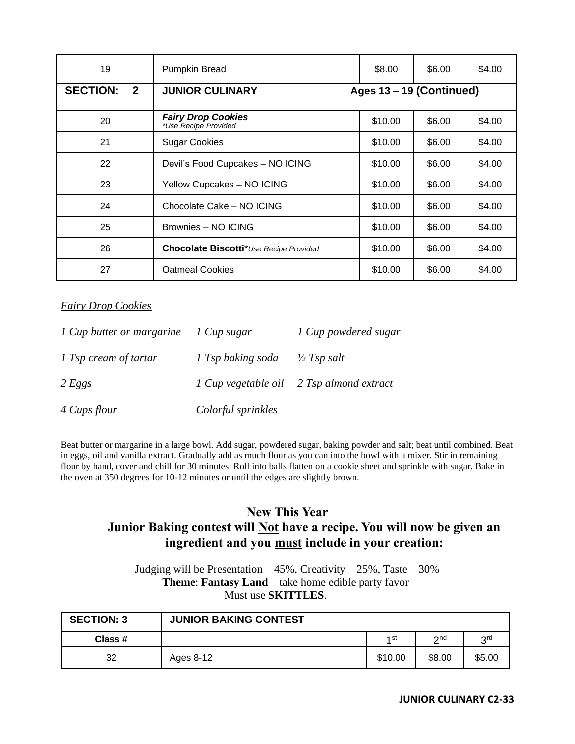| 19                              | Pumpkin Bread                                     | \$8.00                   | \$6.00 | \$4.00 |
|---------------------------------|---------------------------------------------------|--------------------------|--------|--------|
| <b>SECTION:</b><br>$\mathbf{2}$ | <b>JUNIOR CULINARY</b>                            | Ages 13 - 19 (Continued) |        |        |
| 20                              | <b>Fairy Drop Cookies</b><br>*Use Recipe Provided | \$10.00                  | \$6.00 | \$4.00 |
| 21                              | <b>Sugar Cookies</b>                              | \$10.00                  | \$6.00 | \$4.00 |
| 22                              | Devil's Food Cupcakes - NO ICING                  | \$10.00                  | \$6.00 | \$4.00 |
| 23                              | Yellow Cupcakes - NO ICING                        | \$10.00                  | \$6.00 | \$4.00 |
| 24                              | Chocolate Cake - NO ICING                         | \$10.00                  | \$6.00 | \$4.00 |
| 25                              | Brownies - NO ICING                               | \$10.00                  | \$6.00 | \$4.00 |
| 26                              | Chocolate Biscotti* Use Recipe Provided           | \$10.00                  | \$6.00 | \$4.00 |
| 27                              | <b>Oatmeal Cookies</b>                            | \$10.00                  | \$6.00 | \$4.00 |

## *Fairy Drop Cookies*

| 1 Cup butter or margarine | 1 Cup sugar        | 1 Cup powdered sugar                     |
|---------------------------|--------------------|------------------------------------------|
| 1 Tsp cream of tartar     | 1 Tsp baking soda  | $\frac{1}{2}$ Tsp salt                   |
| 2 Eggs                    |                    | 1 Cup vegetable oil 2 Tsp almond extract |
| 4 Cups flour              | Colorful sprinkles |                                          |

Beat butter or margarine in a large bowl. Add sugar, powdered sugar, baking powder and salt; beat until combined. Beat in eggs, oil and vanilla extract. Gradually add as much flour as you can into the bowl with a mixer. Stir in remaining flour by hand, cover and chill for 30 minutes. Roll into balls flatten on a cookie sheet and sprinkle with sugar. Bake in the oven at 350 degrees for 10-12 minutes or until the edges are slightly brown.

## **New This Year**

## **Junior Baking contest will Not have a recipe. You will now be given an ingredient and you must include in your creation:**

Judging will be Presentation – 45%, Creativity – 25%, Taste – 30% **Theme**: **Fantasy Land** – take home edible party favor Must use **SKITTLES**.

| <b>SECTION: 3</b> | <b>JUNIOR BAKING CONTEST</b> |         |        |        |
|-------------------|------------------------------|---------|--------|--------|
| Class #           |                              | 1 st    | ี⇔nd   | 2rd    |
| 32                | Ages 8-12                    | \$10.00 | \$8.00 | \$5.00 |